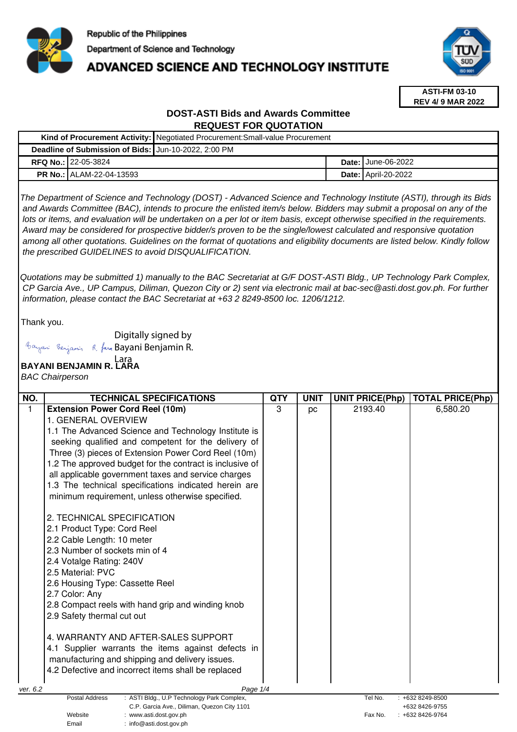

## **ADVANCED SCIENCE AND TECHNOLOGY INSTITUTE**



**ASTI-FM 03-10 REV 4/ 9 MAR 2022**

### **DOST-ASTI Bids and Awards Committee REQUEST FOR QUOTATION**

|                                                      |                                 | Kind of Procurement Activity:   Negotiated Procurement: Small-value Procurement |  |                              |
|------------------------------------------------------|---------------------------------|---------------------------------------------------------------------------------|--|------------------------------|
| Deadline of Submission of Bids: Jun-10-2022, 2:00 PM |                                 |                                                                                 |  |                              |
|                                                      | <b>RFQ No.: 22-05-3824</b>      |                                                                                 |  | <b>Date: I</b> June-06-2022  |
|                                                      | <b>PR No.: ALAM-22-04-13593</b> |                                                                                 |  | <b>Date:   April-20-2022</b> |

The Department of Science and Technology (DOST) - Advanced Science and Technology Institute (ASTI), through its Bids and Awards Committee (BAC), intends to procure the enlisted item/s below. Bidders may submit a proposal on any of the lots or items, and evaluation will be undertaken on a per lot or item basis, except otherwise specified in the requirements. Award may be considered for prospective bidder/s proven to be the single/lowest calculated and responsive quotation among all other quotations. Guidelines on the format of quotations and eligibility documents are listed below. Kindly follow the prescribed GUIDELINES to avoid DISQUALIFICATION.

Quotations may be submitted 1) manually to the BAC Secretariat at G/F DOST-ASTI Bldg., UP Technology Park Complex, CP Garcia Ave., UP Campus, Diliman, Quezon City or 2) sent via electronic mail at bac-sec@asti.dost.gov.ph. For further information, please contact the BAC Secretariat at +63 2 8249-8500 loc. 1206/1212.

Thank you.

Digitally signed by

Email : info@asti.dost.gov.ph

Bayani Benjamin R. fan Bayani Benjamin R.

# **BAYANI BENJAMIN R. LARA**  Lara

BAC Chairperson

| NO.                                                                                              | <b>TECHNICAL SPECIFICATIONS</b>                          | QTY | <b>UNIT</b> | <b>UNIT PRICE(Php)</b> | <b>TOTAL PRICE(Php)</b>          |
|--------------------------------------------------------------------------------------------------|----------------------------------------------------------|-----|-------------|------------------------|----------------------------------|
| 1                                                                                                | <b>Extension Power Cord Reel (10m)</b>                   | 3   | pc          | 2193.40                | 6,580.20                         |
|                                                                                                  | 1. GENERAL OVERVIEW                                      |     |             |                        |                                  |
|                                                                                                  | 1.1 The Advanced Science and Technology Institute is     |     |             |                        |                                  |
|                                                                                                  | seeking qualified and competent for the delivery of      |     |             |                        |                                  |
|                                                                                                  | Three (3) pieces of Extension Power Cord Reel (10m)      |     |             |                        |                                  |
|                                                                                                  | 1.2 The approved budget for the contract is inclusive of |     |             |                        |                                  |
|                                                                                                  | all applicable government taxes and service charges      |     |             |                        |                                  |
|                                                                                                  | 1.3 The technical specifications indicated herein are    |     |             |                        |                                  |
|                                                                                                  | minimum requirement, unless otherwise specified.         |     |             |                        |                                  |
|                                                                                                  | 2. TECHNICAL SPECIFICATION                               |     |             |                        |                                  |
|                                                                                                  | 2.1 Product Type: Cord Reel                              |     |             |                        |                                  |
|                                                                                                  | 2.2 Cable Length: 10 meter                               |     |             |                        |                                  |
|                                                                                                  | 2.3 Number of sockets min of 4                           |     |             |                        |                                  |
|                                                                                                  | 2.4 Votalge Rating: 240V                                 |     |             |                        |                                  |
|                                                                                                  | 2.5 Material: PVC                                        |     |             |                        |                                  |
|                                                                                                  | 2.6 Housing Type: Cassette Reel                          |     |             |                        |                                  |
|                                                                                                  | 2.7 Color: Any                                           |     |             |                        |                                  |
|                                                                                                  | 2.8 Compact reels with hand grip and winding knob        |     |             |                        |                                  |
|                                                                                                  | 2.9 Safety thermal cut out                               |     |             |                        |                                  |
|                                                                                                  | 4. WARRANTY AND AFTER-SALES SUPPORT                      |     |             |                        |                                  |
|                                                                                                  | 4.1 Supplier warrants the items against defects in       |     |             |                        |                                  |
|                                                                                                  | manufacturing and shipping and delivery issues.          |     |             |                        |                                  |
|                                                                                                  | 4.2 Defective and incorrect items shall be replaced      |     |             |                        |                                  |
| ver. 6.2                                                                                         | Page 1/4                                                 |     |             |                        |                                  |
| <b>Postal Address</b><br>: ASTI Bldg., U.P Technology Park Complex,<br>Tel No.<br>+632 8249-8500 |                                                          |     |             |                        |                                  |
| C.P. Garcia Ave., Diliman, Quezon City 1101<br>Website<br>: www.asti.dost.gov.ph                 |                                                          |     |             | Fax No.                | +632 8426-9755<br>+632 8426-9764 |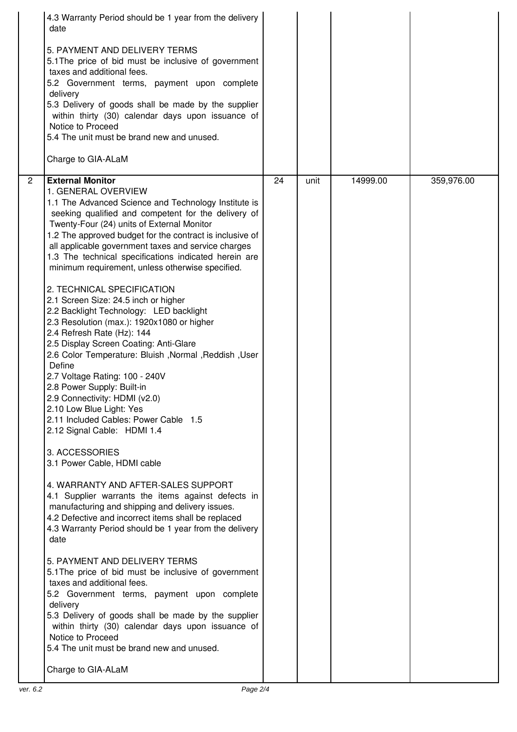|                | 4.3 Warranty Period should be 1 year from the delivery<br>date<br>5. PAYMENT AND DELIVERY TERMS<br>5.1 The price of bid must be inclusive of government<br>taxes and additional fees.<br>5.2 Government terms, payment upon complete<br>delivery<br>5.3 Delivery of goods shall be made by the supplier<br>within thirty (30) calendar days upon issuance of<br>Notice to Proceed<br>5.4 The unit must be brand new and unused.<br>Charge to GIA-ALaM                                                                                                                                                                                                                                                                                                                                                                                                                                                                                                                                                                                                                                                                                                                                                                                                                                                                                                                                                                                                                                                                                                                                                                                                |    |      |          |            |
|----------------|------------------------------------------------------------------------------------------------------------------------------------------------------------------------------------------------------------------------------------------------------------------------------------------------------------------------------------------------------------------------------------------------------------------------------------------------------------------------------------------------------------------------------------------------------------------------------------------------------------------------------------------------------------------------------------------------------------------------------------------------------------------------------------------------------------------------------------------------------------------------------------------------------------------------------------------------------------------------------------------------------------------------------------------------------------------------------------------------------------------------------------------------------------------------------------------------------------------------------------------------------------------------------------------------------------------------------------------------------------------------------------------------------------------------------------------------------------------------------------------------------------------------------------------------------------------------------------------------------------------------------------------------------|----|------|----------|------------|
| $\overline{2}$ | <b>External Monitor</b><br>1. GENERAL OVERVIEW<br>1.1 The Advanced Science and Technology Institute is<br>seeking qualified and competent for the delivery of<br>Twenty-Four (24) units of External Monitor<br>1.2 The approved budget for the contract is inclusive of<br>all applicable government taxes and service charges<br>1.3 The technical specifications indicated herein are<br>minimum requirement, unless otherwise specified.<br>2. TECHNICAL SPECIFICATION<br>2.1 Screen Size: 24.5 inch or higher<br>2.2 Backlight Technology: LED backlight<br>2.3 Resolution (max.): 1920x1080 or higher<br>2.4 Refresh Rate (Hz): 144<br>2.5 Display Screen Coating: Anti-Glare<br>2.6 Color Temperature: Bluish, Normal, Reddish, User<br>Define<br>2.7 Voltage Rating: 100 - 240V<br>2.8 Power Supply: Built-in<br>2.9 Connectivity: HDMI (v2.0)<br>2.10 Low Blue Light: Yes<br>2.11 Included Cables: Power Cable 1.5<br>2.12 Signal Cable: HDMI 1.4<br>3. ACCESSORIES<br>3.1 Power Cable, HDMI cable<br>4. WARRANTY AND AFTER-SALES SUPPORT<br>4.1 Supplier warrants the items against defects in<br>manufacturing and shipping and delivery issues.<br>4.2 Defective and incorrect items shall be replaced<br>4.3 Warranty Period should be 1 year from the delivery<br>date<br>5. PAYMENT AND DELIVERY TERMS<br>5.1 The price of bid must be inclusive of government<br>taxes and additional fees.<br>5.2 Government terms, payment upon complete<br>delivery<br>5.3 Delivery of goods shall be made by the supplier<br>within thirty (30) calendar days upon issuance of<br>Notice to Proceed<br>5.4 The unit must be brand new and unused. | 24 | unit | 14999.00 | 359,976.00 |
|                | Charge to GIA-ALaM                                                                                                                                                                                                                                                                                                                                                                                                                                                                                                                                                                                                                                                                                                                                                                                                                                                                                                                                                                                                                                                                                                                                                                                                                                                                                                                                                                                                                                                                                                                                                                                                                                   |    |      |          |            |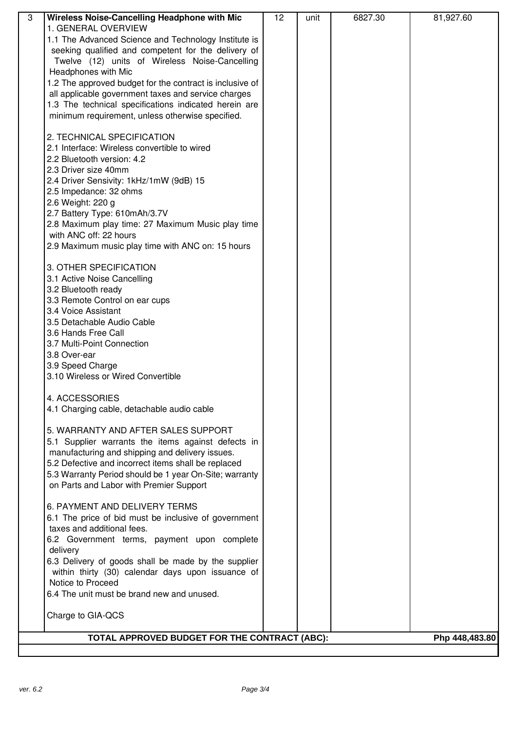| $\overline{3}$ | Wireless Noise-Cancelling Headphone with Mic             | 12 | unit | 6827.30 | 81,927.60      |
|----------------|----------------------------------------------------------|----|------|---------|----------------|
|                | 1. GENERAL OVERVIEW                                      |    |      |         |                |
|                | 1.1 The Advanced Science and Technology Institute is     |    |      |         |                |
|                | seeking qualified and competent for the delivery of      |    |      |         |                |
|                | Twelve (12) units of Wireless Noise-Cancelling           |    |      |         |                |
|                | Headphones with Mic                                      |    |      |         |                |
|                | 1.2 The approved budget for the contract is inclusive of |    |      |         |                |
|                | all applicable government taxes and service charges      |    |      |         |                |
|                | 1.3 The technical specifications indicated herein are    |    |      |         |                |
|                | minimum requirement, unless otherwise specified.         |    |      |         |                |
|                |                                                          |    |      |         |                |
|                | 2. TECHNICAL SPECIFICATION                               |    |      |         |                |
|                | 2.1 Interface: Wireless convertible to wired             |    |      |         |                |
|                | 2.2 Bluetooth version: 4.2                               |    |      |         |                |
|                | 2.3 Driver size 40mm                                     |    |      |         |                |
|                | 2.4 Driver Sensivity: 1kHz/1mW (9dB) 15                  |    |      |         |                |
|                | 2.5 Impedance: 32 ohms                                   |    |      |         |                |
|                | 2.6 Weight: 220 g                                        |    |      |         |                |
|                | 2.7 Battery Type: 610mAh/3.7V                            |    |      |         |                |
|                | 2.8 Maximum play time: 27 Maximum Music play time        |    |      |         |                |
|                | with ANC off: 22 hours                                   |    |      |         |                |
|                | 2.9 Maximum music play time with ANC on: 15 hours        |    |      |         |                |
|                |                                                          |    |      |         |                |
|                | 3. OTHER SPECIFICATION                                   |    |      |         |                |
|                | 3.1 Active Noise Cancelling                              |    |      |         |                |
|                | 3.2 Bluetooth ready                                      |    |      |         |                |
|                | 3.3 Remote Control on ear cups                           |    |      |         |                |
|                | 3.4 Voice Assistant                                      |    |      |         |                |
|                | 3.5 Detachable Audio Cable                               |    |      |         |                |
|                | 3.6 Hands Free Call                                      |    |      |         |                |
|                | 3.7 Multi-Point Connection                               |    |      |         |                |
|                | 3.8 Over-ear                                             |    |      |         |                |
|                | 3.9 Speed Charge                                         |    |      |         |                |
|                | 3.10 Wireless or Wired Convertible                       |    |      |         |                |
|                |                                                          |    |      |         |                |
|                | 4. ACCESSORIES                                           |    |      |         |                |
|                | 4.1 Charging cable, detachable audio cable               |    |      |         |                |
|                |                                                          |    |      |         |                |
|                | 5. WARRANTY AND AFTER SALES SUPPORT                      |    |      |         |                |
|                | 5.1 Supplier warrants the items against defects in       |    |      |         |                |
|                | manufacturing and shipping and delivery issues.          |    |      |         |                |
|                | 5.2 Defective and incorrect items shall be replaced      |    |      |         |                |
|                | 5.3 Warranty Period should be 1 year On-Site; warranty   |    |      |         |                |
|                | on Parts and Labor with Premier Support                  |    |      |         |                |
|                |                                                          |    |      |         |                |
|                | 6. PAYMENT AND DELIVERY TERMS                            |    |      |         |                |
|                | 6.1 The price of bid must be inclusive of government     |    |      |         |                |
|                | taxes and additional fees.                               |    |      |         |                |
|                | 6.2 Government terms, payment upon complete              |    |      |         |                |
|                | delivery                                                 |    |      |         |                |
|                | 6.3 Delivery of goods shall be made by the supplier      |    |      |         |                |
|                | within thirty (30) calendar days upon issuance of        |    |      |         |                |
|                | Notice to Proceed                                        |    |      |         |                |
|                | 6.4 The unit must be brand new and unused.               |    |      |         |                |
|                |                                                          |    |      |         |                |
|                | Charge to GIA-QCS                                        |    |      |         |                |
|                |                                                          |    |      |         |                |
|                | TOTAL APPROVED BUDGET FOR THE CONTRACT (ABC):            |    |      |         | Php 448,483.80 |